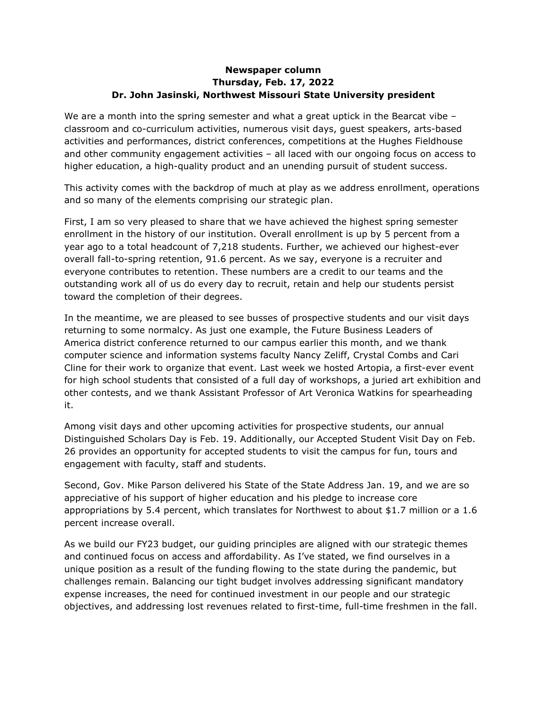## **Newspaper column Thursday, Feb. 17, 2022 Dr. John Jasinski, Northwest Missouri State University president**

We are a month into the spring semester and what a great uptick in the Bearcat vibe classroom and co-curriculum activities, numerous visit days, guest speakers, arts-based activities and performances, district conferences, competitions at the Hughes Fieldhouse and other community engagement activities – all laced with our ongoing focus on access to higher education, a high-quality product and an unending pursuit of student success.

This activity comes with the backdrop of much at play as we address enrollment, operations and so many of the elements comprising our strategic plan.

First, I am so very pleased to share that we have achieved the highest spring semester enrollment in the history of our institution. Overall enrollment is up by 5 percent from a year ago to a total headcount of 7,218 students. Further, we achieved our highest-ever overall fall-to-spring retention, 91.6 percent. As we say, everyone is a recruiter and everyone contributes to retention. These numbers are a credit to our teams and the outstanding work all of us do every day to recruit, retain and help our students persist toward the completion of their degrees.

In the meantime, we are pleased to see busses of prospective students and our visit days returning to some normalcy. As just one example, the Future Business Leaders of America district conference returned to our campus earlier this month, and we thank computer science and information systems faculty Nancy Zeliff, Crystal Combs and Cari Cline for their work to organize that event. Last week we hosted Artopia, a first-ever event for high school students that consisted of a full day of workshops, a juried art exhibition and other contests, and we thank Assistant Professor of Art Veronica Watkins for spearheading it.

Among visit days and other upcoming activities for prospective students, our annual Distinguished Scholars Day is Feb. 19. Additionally, our Accepted Student Visit Day on Feb. 26 provides an opportunity for accepted students to visit the campus for fun, tours and engagement with faculty, staff and students.

Second, Gov. Mike Parson delivered his State of the State Address Jan. 19, and we are so appreciative of his support of higher education and his pledge to increase core appropriations by 5.4 percent, which translates for Northwest to about \$1.7 million or a 1.6 percent increase overall.

As we build our FY23 budget, our guiding principles are aligned with our strategic themes and continued focus on access and affordability. As I've stated, we find ourselves in a unique position as a result of the funding flowing to the state during the pandemic, but challenges remain. Balancing our tight budget involves addressing significant mandatory expense increases, the need for continued investment in our people and our strategic objectives, and addressing lost revenues related to first-time, full-time freshmen in the fall.